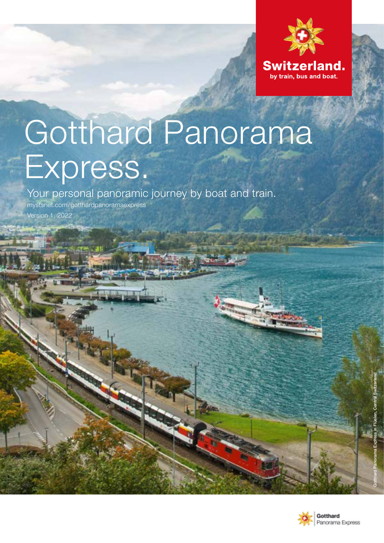

# Gotthard Panorama Express.

Your personal panoramic journey by boat and train.

[mystsnet.com/gotthardpanoramaexpress](http://mystsnet.com/gotthardpanoramaexpress ) Version 1, 2022

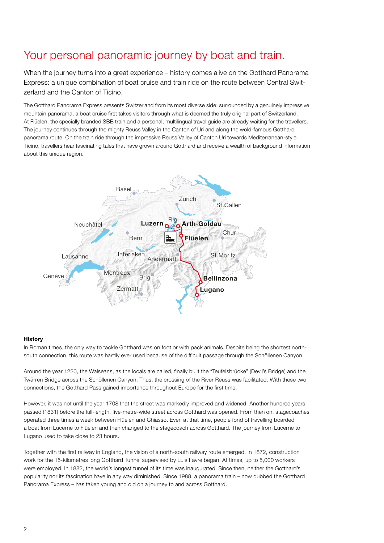# Your personal panoramic journey by boat and train.

When the journey turns into a great experience – history comes alive on the Gotthard Panorama Express: a unique combination of boat cruise and train ride on the route between Central Switzerland and the Canton of Ticino.

The Gotthard Panorama Express presents Switzerland from its most diverse side: surrounded by a genuinely impressive mountain panorama, a boat cruise first takes visitors through what is deemed the truly original part of Switzerland. At Flüelen, the specially branded SBB train and a personal, multilingual travel guide are already waiting for the travellers. The journey continues through the mighty Reuss Valley in the Canton of Uri and along the wold-famous Gotthard panorama route. On the train ride through the impressive Reuss Valley of Canton Uri towards Mediterranean-style Ticino, travellers hear fascinating tales that have grown around Gotthard and receive a wealth of background information about this unique region.



#### History

In Roman times, the only way to tackle Gotthard was on foot or with pack animals. Despite being the shortest northsouth connection, this route was hardly ever used because of the difficult passage through the Schöllenen Canyon.

Around the year 1220, the Walseans, as the locals are called, finally built the "Teufelsbrücke" (Devil's Bridge) and the Twärren Bridge across the Schöllenen Canyon. Thus, the crossing of the River Reuss was facilitated. With these two connections, the Gotthard Pass gained importance throughout Europe for the first time.

However, it was not until the year 1708 that the street was markedly improved and widened. Another hundred years passed (1831) before the full-length, five-metre-wide street across Gotthard was opened. From then on, stagecoaches operated three times a week between Flüelen and Chiasso. Even at that time, people fond of travelling boarded a boat from Lucerne to Flüelen and then changed to the stagecoach across Gotthard. The journey from Lucerne to Lugano used to take close to 23 hours.

Together with the first railway in England, the vision of a north-south railway route emerged. In 1872, construction work for the 15-kilometres long Gotthard Tunnel supervised by Luis Favre began. At times, up to 5,000 workers were employed. In 1882, the world's longest tunnel of its time was inaugurated. Since then, neither the Gotthard's popularity nor its fascination have in any way diminished. Since 1988, a panorama train – now dubbed the Gotthard Panorama Express – has taken young and old on a journey to and across Gotthard.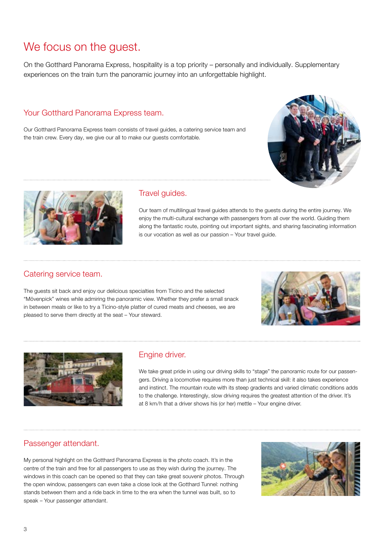# We focus on the guest.

On the Gotthard Panorama Express, hospitality is a top priority – personally and individually. Supplementary experiences on the train turn the panoramic journey into an unforgettable highlight.

## Your Gotthard Panorama Express team.

Our Gotthard Panorama Express team consists of travel guides, a catering service team and the train crew. Every day, we give our all to make our guests comfortable.





### Travel guides.

Our team of multilingual travel guides attends to the guests during the entire journey. We enjoy the multi-cultural exchange with passengers from all over the world. Guiding them along the fantastic route, pointing out important sights, and sharing fascinating information is our vocation as well as our passion – Your travel guide.

## Catering service team.

The guests sit back and enjoy our delicious specialties from Ticino and the selected "Mövenpick" wines while admiring the panoramic view. Whether they prefer a small snack in between meals or like to try a Ticino-style platter of cured meats and cheeses, we are pleased to serve them directly at the seat – Your steward.





### Engine driver.

We take great pride in using our driving skills to "stage" the panoramic route for our passengers. Driving a locomotive requires more than just technical skill: it also takes experience and instinct. The mountain route with its steep gradients and varied climatic conditions adds to the challenge. Interestingly, slow driving requires the greatest attention of the driver. It's at 8 km/h that a driver shows his (or her) mettle – Your engine driver.

### Passenger attendant.

My personal highlight on the Gotthard Panorama Express is the photo coach. It's in the centre of the train and free for all passengers to use as they wish during the journey. The windows in this coach can be opened so that they can take great souvenir photos. Through the open window, passengers can even take a close look at the Gotthard Tunnel: nothing stands between them and a ride back in time to the era when the tunnel was built, so to speak – Your passenger attendant.

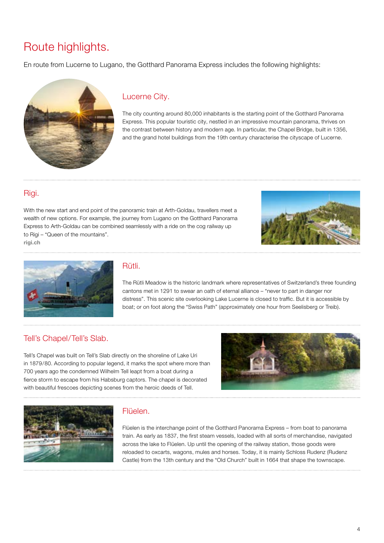# Route highlights.

En route from Lucerne to Lugano, the Gotthard Panorama Express includes the following highlights:

![](_page_3_Picture_2.jpeg)

# Lucerne City.

The city counting around 80,000 inhabitants is the starting point of the Gotthard Panorama Express. This popular touristic city, nestled in an impressive mountain panorama, thrives on the contrast between history and modern age. In particular, the Chapel Bridge, built in 1356, and the grand hotel buildings from the 19th century characterise the cityscape of Lucerne.

# Rigi.

With the new start and end point of the panoramic train at Arth-Goldau, travellers meet a wealth of new options. For example, the journey from Lugano on the Gotthard Panorama Express to Arth-Goldau can be combined seamlessly with a ride on the cog railway up to Rigi – "Queen of the mountains". [rigi.ch](http://rigi.ch)

![](_page_3_Picture_7.jpeg)

![](_page_3_Picture_8.jpeg)

### Rütli.

The Rütli Meadow is the historic landmark where representatives of Switzerland's three founding cantons met in 1291 to swear an oath of eternal alliance – "never to part in danger nor distress". This scenic site overlooking Lake Lucerne is closed to traffic. But it is accessible by boat; or on foot along the "Swiss Path" (approximately one hour from Seelisberg or Treib).

# Tell's Chapel/Tell's Slab.

Tell's Chapel was built on Tell's Slab directly on the shoreline of Lake Uri in 1879/80. According to popular legend, it marks the spot where more than 700 years ago the condemned Wilhelm Tell leapt from a boat during a fierce storm to escape from his Habsburg captors. The chapel is decorated with beautiful frescoes depicting scenes from the heroic deeds of Tell.

![](_page_3_Picture_13.jpeg)

![](_page_3_Picture_14.jpeg)

# Flüelen.

Flüelen is the interchange point of the Gotthard Panorama Express – from boat to panorama train. As early as 1837, the first steam vessels, loaded with all sorts of merchandise, navigated across the lake to Flüelen. Up until the opening of the railway station, those goods were reloaded to oxcarts, wagons, mules and horses. Today, it is mainly Schloss Rudenz (Rudenz Castle) from the 13th century and the "Old Church" built in 1664 that shape the townscape.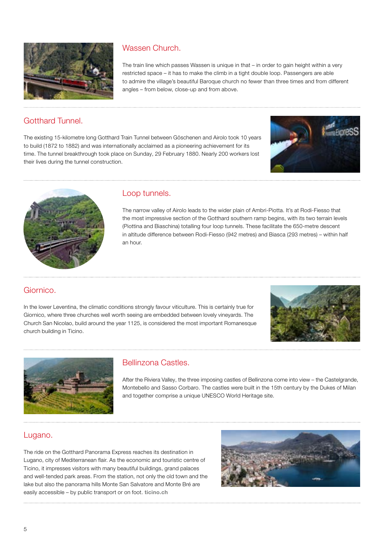![](_page_4_Picture_0.jpeg)

# Wassen Church.

The train line which passes Wassen is unique in that – in order to gain height within a very restricted space – it has to make the climb in a tight double loop. Passengers are able to admire the village's beautiful Baroque church no fewer than three times and from different angles – from below, close-up and from above.

# Gotthard Tunnel.

The existing 15-kilometre long Gotthard Train Tunnel between Göschenen and Airolo took 10 years to build (1872 to 1882) and was internationally acclaimed as a pioneering achievement for its time. The tunnel breakthrough took place on Sunday, 29 February 1880. Nearly 200 workers lost their lives during the tunnel construction.

![](_page_4_Picture_5.jpeg)

![](_page_4_Picture_6.jpeg)

## Loop tunnels.

The narrow valley of Airolo leads to the wider plain of Ambri-Piotta. It's at Rodi-Fiesso that the most impressive section of the Gotthard southern ramp begins, with its two terrain levels (Piottina and Biaschina) totalling four loop tunnels. These facilitate the 650-metre descent in altitude difference between Rodi-Fiesso (942 metres) and Biasca (293 metres) – within half an hour.

# Giornico.

In the lower Leventina, the climatic conditions strongly favour viticulture. This is certainly true for Giornico, where three churches well worth seeing are embedded between lovely vineyards. The Church San Nicolao, build around the year 1125, is considered the most important Romanesque church building in Ticino.

![](_page_4_Picture_11.jpeg)

![](_page_4_Picture_12.jpeg)

# Bellinzona Castles.

After the Riviera Valley, the three imposing castles of Bellinzona come into view – the Castelgrande, Montebello and Sasso Corbaro. The castles were built in the 15th century by the Dukes of Milan and together comprise a unique UNESCO World Heritage site.

# Lugano.

The ride on the Gotthard Panorama Express reaches its destination in Lugano, city of Mediterranean flair. As the economic and touristic centre of Ticino, it impresses visitors with many beautiful buildings, grand palaces and well-tended park areas. From the station, not only the old town and the lake but also the panorama hills Monte San Salvatore and Monte Bré are easily accessible – by public transport or on foot. [ticino.ch](http://ticino.ch)

![](_page_4_Picture_17.jpeg)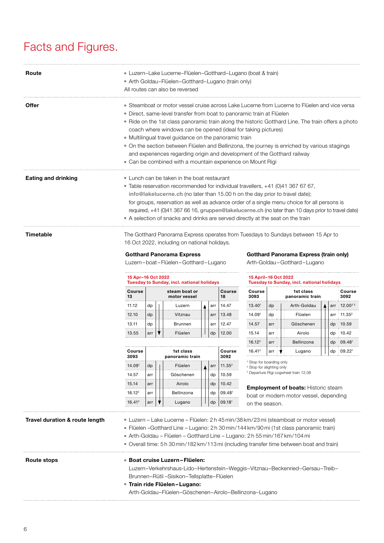# Facts and Figures.

| Route                      | Luzern-Lake Lucerne-Flüelen-Gotthard-Lugano (boat & train)<br>Arth Goldau-Flüelen-Gotthard-Lugano (train only)<br>All routes can also be reversed                                                                                                                                                                                                                                                                                                                                                                                                                                                                                              |
|----------------------------|------------------------------------------------------------------------------------------------------------------------------------------------------------------------------------------------------------------------------------------------------------------------------------------------------------------------------------------------------------------------------------------------------------------------------------------------------------------------------------------------------------------------------------------------------------------------------------------------------------------------------------------------|
| Offer                      | Steamboat or motor vessel cruise across Lake Lucerne from Lucerne to Flüelen and vice versa<br>· Direct, same-level transfer from boat to panoramic train at Flüelen<br>- Ride on the 1st class panoramic train along the historic Gotthard Line. The train offers a photo<br>coach where windows can be opened (ideal for taking pictures)<br>• Multilingual travel guidance on the panoramic train<br>• On the section between Flüelen and Bellinzona, the journey is enriched by various stagings<br>and experiences regarding origin and development of the Gotthard railway<br>• Can be combined with a mountain experience on Mount Rigi |
| <b>Eating and drinking</b> | $\blacksquare$ Lunch can be taken in the boat restaurant<br>■ Table reservation recommended for individual travellers, +41 (0)41 367 67 67,<br>info@lakelucerne.ch (no later than 15.00 h on the day prior to travel date);<br>for groups, reservation as well as advance order of a single menu choice for all persons is<br>required, +41 (0)41 367 66 16, gruppen@lakelucerne.ch (no later than 10 days prior to travel date)<br>A selection of snacks and drinks are served directly at the seat on the train                                                                                                                              |
| Timetable                  | The Gotthard Panorama Express operates from Tuesdays to Sundays between 15 Apr to<br>16 Oct 2022, including on national holidays.                                                                                                                                                                                                                                                                                                                                                                                                                                                                                                              |

#### Gotthard Panorama Express

Luzern – boat – Flüelen –Gotthard – Lugano

#### Gotthard Panorama Express (train only)

. . . . . . . . . . . . .

Arth-Goldau –Gotthard – Lugano

| 15 Apr-16 Oct 2022<br><b>Tuesday to Sunday, incl. national holidays</b> |                               |  |         |  |  |              |       |
|-------------------------------------------------------------------------|-------------------------------|--|---------|--|--|--------------|-------|
| Course<br>13                                                            | steam boat or<br>motor vessel |  |         |  |  | Course<br>18 |       |
| 11.12                                                                   | dp                            |  | Luzern  |  |  | arr          | 14 47 |
| 12.10                                                                   | dp                            |  | Vitznau |  |  | arr          | 13.48 |
| 13.11                                                                   | dp                            |  | Brunnen |  |  | arr          | 12 47 |
| 13.55                                                                   | arr                           |  | Flüelen |  |  | dp           | 12 በበ |

| 15 April-16 Oct 2022<br>Tuesday to Sunday, incl. national holidays |     |                              |  |     |                    |  |
|--------------------------------------------------------------------|-----|------------------------------|--|-----|--------------------|--|
| Course<br>3093                                                     |     | 1st class<br>panoramic train |  |     |                    |  |
| 13.40 <sup>1</sup>                                                 | dp  | Arth-Goldau                  |  | arr | $12.00^{23}$       |  |
| 14 091                                                             | dp  | Flüelen                      |  | arr | 11 35 <sup>2</sup> |  |
| 14.57                                                              | arr | Göschenen                    |  | dp  | 10.59              |  |

15.14  $\vert \text{arr} \vert \vert$  Airolo  $\vert \vert \vert$  dp 10.42 16.12<sup>2</sup> arr | | Bellinzona | | | dp | 09.48<sup>1</sup> 16.41<sup>2</sup> arr  $\sqrt{\frac{1}{2}}$  Lugano  $\sqrt{\frac{1}{1}}$  dp 09.22<sup>1</sup>

| Course<br>3093     | 1st class<br>panoramic train |  |            |  |     | Course<br>3092     |
|--------------------|------------------------------|--|------------|--|-----|--------------------|
| 14.091             | dp                           |  | Flüelen    |  | arr | 11.35 <sup>2</sup> |
| 14.57              | arr                          |  | Göschenen  |  | dp  | 10.59              |
| 15.14              | arr                          |  | Airolo     |  | dp  | 10.42              |
| 16.12 <sup>2</sup> | arr                          |  | Bellinzona |  | dp  | 09.481             |
| 16.41 <sup>2</sup> | arr                          |  | Lugano     |  | dp  | 09.181             |

<sup>1</sup> Stop for boarding only

. . . .

2 Stop for alighting only

3 Departure Rigi cogwheel train 12.08

**Employment of boats: Historic steam** boat or modern motor vessel, depending on the season.

| Travel duration & route length | ■ Luzern – Lake Lucerne – Flüelen: 2 h 45 min/38 km/23 mi (steamboat or motor vessel)<br>- Flüelen -Gotthard Line - Lugano: 2 h 30 min/144 km/90 mi (1st class panoramic train)<br>Arth-Goldau – Flüelen – Gotthard Line – Lugano: 2h 55 min/167 km/104 mi<br>Overall time: 5 h 30 min/182 km/113 mi (including transfer time between boat and train) |
|--------------------------------|-------------------------------------------------------------------------------------------------------------------------------------------------------------------------------------------------------------------------------------------------------------------------------------------------------------------------------------------------------|
| Route stops                    | <b>Boat cruise Luzern-Flüelen:</b><br>Luzern-Verkehrshaus-Lido-Hertenstein-Weggis-Vitznau-Beckenried-Gersau-Treib-<br>Brunnen-Rütli-Sisikon-Tellsplatte-Flüelen<br>■ Train ride Flüelen-Lugano:<br>Arth-Goldau-Flüelen-Göschenen-Airolo-Bellinzona-Lugano                                                                                             |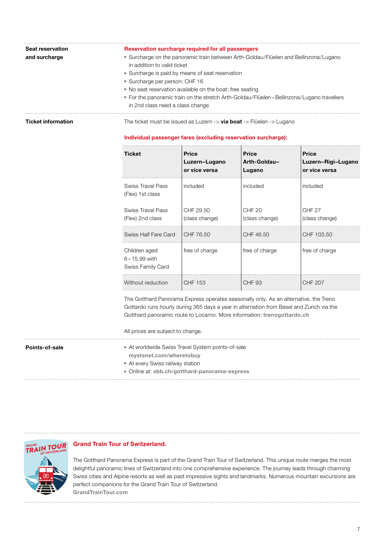| Seat reservation<br>and surcharge |                                                                                                                                                                                                                                                             | Reservation surcharge required for all passengers<br>Surcharge on the panoramic train between Arth-Goldau/Flüelen and Bellinzona/Lugano<br>in addition to valid ticket<br>Surcharge is paid by means of seat reservation<br>· Surcharge per person: CHF 16<br>• No seat reservation available on the boat; free seating<br>For the panoramic train on the stretch Arth-Goldau/Flüelen-Bellinzona/Lugano travellers |                                        |                                                     |  |  |  |  |
|-----------------------------------|-------------------------------------------------------------------------------------------------------------------------------------------------------------------------------------------------------------------------------------------------------------|--------------------------------------------------------------------------------------------------------------------------------------------------------------------------------------------------------------------------------------------------------------------------------------------------------------------------------------------------------------------------------------------------------------------|----------------------------------------|-----------------------------------------------------|--|--|--|--|
| <b>Ticket information</b>         | in 2nd class need a class change<br>The ticket must be issued as Luzern $\rightarrow$ via boat $\rightarrow$ Flüelen $\rightarrow$ Lugano<br>Individual passenger fares (excluding reservation surcharge):                                                  |                                                                                                                                                                                                                                                                                                                                                                                                                    |                                        |                                                     |  |  |  |  |
|                                   | <b>Ticket</b>                                                                                                                                                                                                                                               | <b>Price</b><br>Luzern-Lugano<br>or vice versa                                                                                                                                                                                                                                                                                                                                                                     | <b>Price</b><br>Arth-Goldau-<br>Lugano | <b>Price</b><br>Luzern-Rigi-Lugano<br>or vice versa |  |  |  |  |
|                                   | <b>Swiss Travel Pass</b><br>(Flex) 1st class                                                                                                                                                                                                                | included                                                                                                                                                                                                                                                                                                                                                                                                           | included                               | included                                            |  |  |  |  |
|                                   | <b>Swiss Travel Pass</b><br>(Flex) 2nd class                                                                                                                                                                                                                | CHF 29.50<br>(class change)                                                                                                                                                                                                                                                                                                                                                                                        | CHF <sub>20</sub><br>(class change)    | CHF <sub>27</sub><br>(class change)                 |  |  |  |  |
|                                   | Swiss Half Fare Card                                                                                                                                                                                                                                        | CHF 76.50                                                                                                                                                                                                                                                                                                                                                                                                          | CHF 46.50                              | CHF 103.50                                          |  |  |  |  |
|                                   | Children aged<br>6-15.99 with<br>Swiss Family Card                                                                                                                                                                                                          | free of charge                                                                                                                                                                                                                                                                                                                                                                                                     | free of charge                         | free of charge                                      |  |  |  |  |
|                                   | Without reduction                                                                                                                                                                                                                                           | <b>CHF 153</b>                                                                                                                                                                                                                                                                                                                                                                                                     | <b>CHF 93</b>                          | <b>CHF 207</b>                                      |  |  |  |  |
|                                   | The Gotthard Panorama Express operates seasonally only. As an alternative, the Treno<br>Gottardo runs hourly during 365 days a year in alternation from Basel and Zurich via the<br>Gotthard panoramic route to Locarno. More information: trenogottardo.ch |                                                                                                                                                                                                                                                                                                                                                                                                                    |                                        |                                                     |  |  |  |  |

All prices are subject to change.

Points-of-sale ■ At worldwide Swiss Travel System points-of-sale [mystsnet.com/wheretobuy](http://mystsnet.com/wheretobuy)

- At every Swiss railway station
- Online at: [sbb.ch/gotthard-panorama-express](http://sbb.ch/en/gotthard-panorama-express)

![](_page_6_Picture_6.jpeg)

#### Grand Train Tour of Switzerland.

The Gotthard Panorama Express is part of the Grand Train Tour of Switzerland. This unique route merges the most delightful panoramic lines of Switzerland into one comprehensive experience. The journey leads through charming Swiss cities and Alpine resorts as well as past impressive sights and landmarks. Numerous mountain excursions are perfect companions for the Grand Train Tour of Switzerland. [GrandTrainTour.com](http://GrandTrainTour.com)